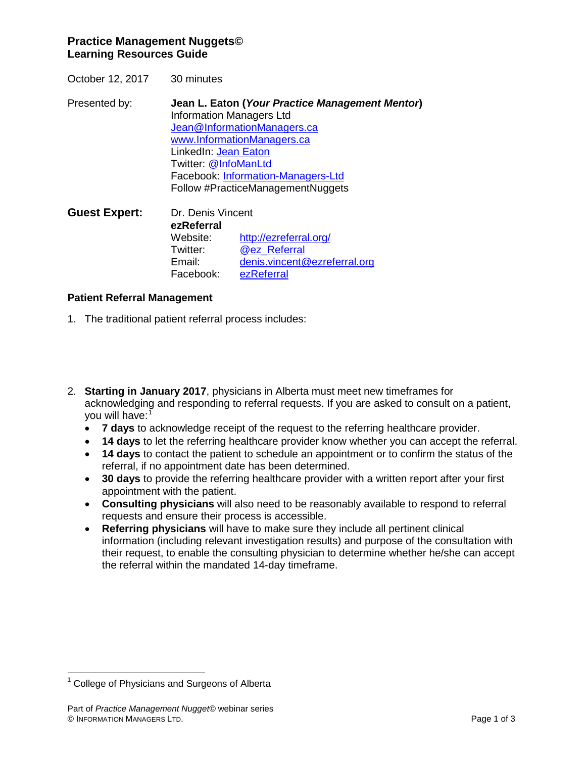# **Practice Management Nuggets© Learning Resources Guide**

October 12, 2017 30 minutes

Presented by: **Jean L. Eaton (***Your Practice Management Mentor***)** Information Managers Ltd [Jean@InformationManagers.ca](mailto:Jean@InformationManagers.ca) [www.InformationManagers.ca](http://www.informationmanagers.ca/) LinkedIn: [Jean Eaton](http://www.linkedin.com/in/jeaneaton) Twitter: [@InfoManLtd](https://twitter.com/InfoManLtd)  Facebook: [Information-Managers-Ltd](https://www.facebook.com/pages/Information-Managers-Ltd/291303607725640) Follow #PracticeManagementNuggets

**Guest Expert:** Dr. Denis Vincent **ezReferral** <http://ezreferral.org/> Twitter: **[@ez\\_Referral](https://twitter.com/ez_Referral)**<br>Email: denis.vincent [denis.vincent@ezreferral.org](mailto:denis.vincent@ezreferral.org) Facebook: [ezReferral](https://www.facebook.com/ezReferral.org/)

## **Patient Referral Management**

- 1. The traditional patient referral process includes:
- 2. **Starting in January 2017**, physicians in Alberta must meet new timeframes for acknowledging and responding to referral requests. If you are asked to consult on a patient, you will have:<sup>[1](#page-0-0)</sup>
	- **7 days** to acknowledge receipt of the request to the referring healthcare provider.
	- **14 days** to let the referring healthcare provider know whether you can accept the referral.
	- **14 days** to contact the patient to schedule an appointment or to confirm the status of the referral, if no appointment date has been determined.
	- **30 days** to provide the referring healthcare provider with a written report after your first appointment with the patient.
	- **Consulting physicians** will also need to be reasonably available to respond to referral requests and ensure their process is accessible.
	- **Referring physicians** will have to make sure they include all pertinent clinical information (including relevant investigation results) and purpose of the consultation with their request, to enable the consulting physician to determine whether he/she can accept the referral within the mandated 14-day timeframe.

<span id="page-0-0"></span><sup>1</sup> College of Physicians and Surgeons of Alberta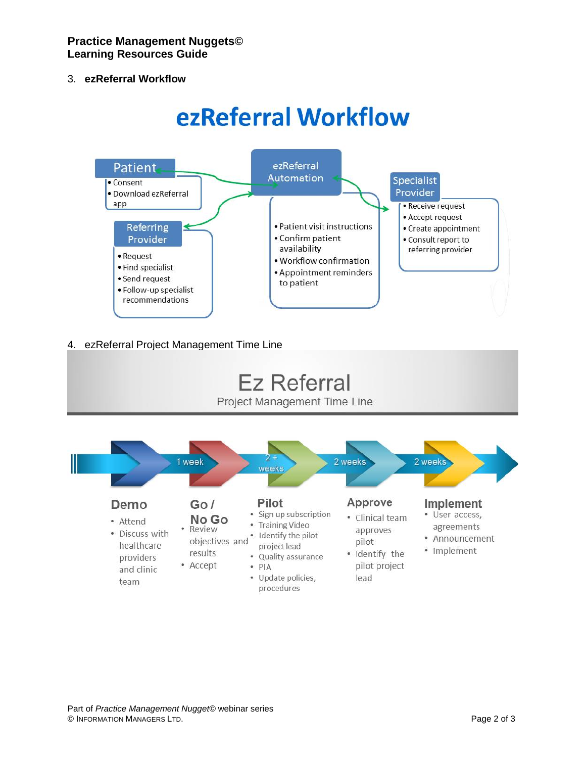# 3. **ezReferral Workflow**

# ezReferral Workflow



# 4. ezReferral Project Management Time Line